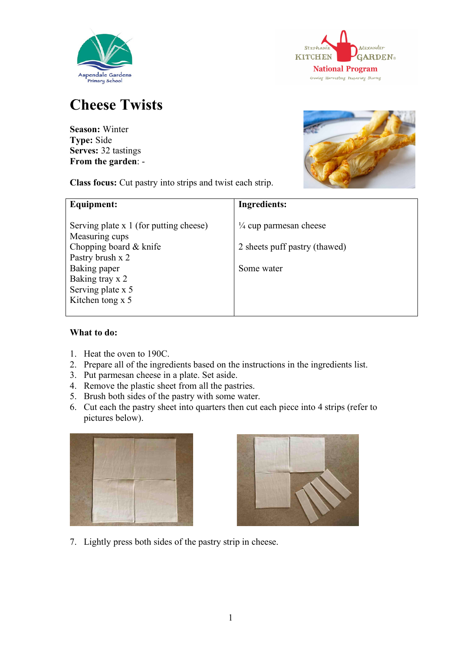



## **Cheese Twists**

**Season:** Winter **Type:** Side **Serves:** 32 tastings **From the garden**: -

**Class focus:** Cut pastry into strips and twist each strip.



| Equipment:                                               | <b>Ingredients:</b>               |
|----------------------------------------------------------|-----------------------------------|
| Serving plate x 1 (for putting cheese)<br>Measuring cups | $\frac{1}{4}$ cup parmesan cheese |
| Chopping board & knife                                   | 2 sheets puff pastry (thawed)     |
| Pastry brush x 2<br>Baking paper                         | Some water                        |
| Baking tray x 2<br>Serving plate x 5                     |                                   |
| Kitchen tong x 5                                         |                                   |
|                                                          |                                   |

## **What to do:**

- 1. Heat the oven to 190C.
- 2. Prepare all of the ingredients based on the instructions in the ingredients list.
- 3. Put parmesan cheese in a plate. Set aside.
- 4. Remove the plastic sheet from all the pastries.
- 5. Brush both sides of the pastry with some water.
- 6. Cut each the pastry sheet into quarters then cut each piece into 4 strips (refer to pictures below).





7. Lightly press both sides of the pastry strip in cheese.